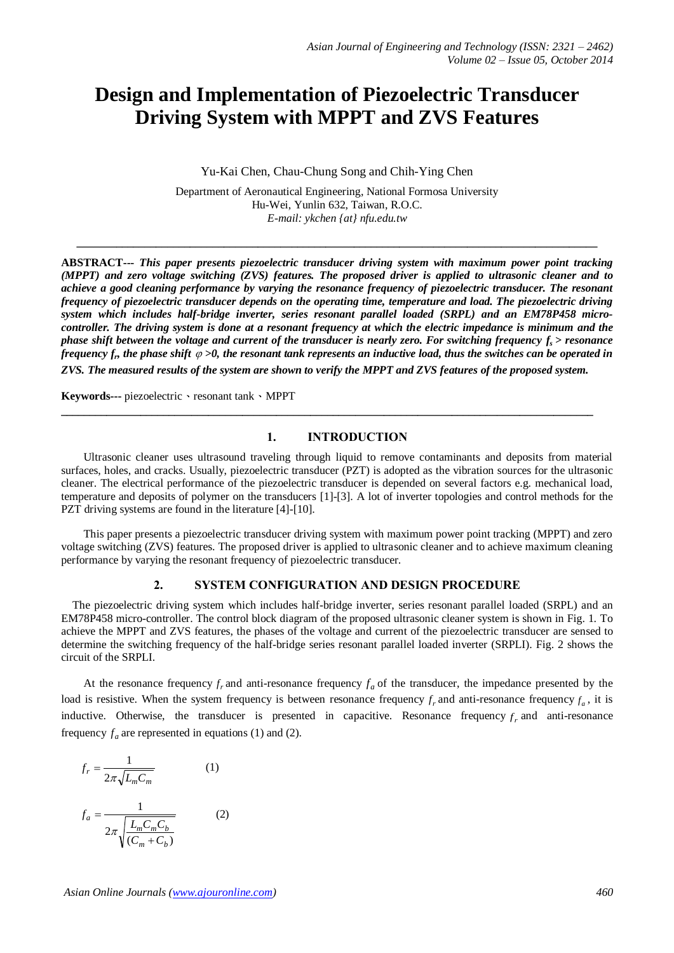# **Design and Implementation of Piezoelectric Transducer Driving System with MPPT and ZVS Features**

Yu-Kai Chen, Chau-Chung Song and Chih-Ying Chen

Department of Aeronautical Engineering, National Formosa University Hu-Wei, Yunlin 632, Taiwan, R.O.C. *E-mail: ykchen [{at} nfu.edu.tw](mailto:ykchen@nfu.edu.tw)*

**\_\_\_\_\_\_\_\_\_\_\_\_\_\_\_\_\_\_\_\_\_\_\_\_\_\_\_\_\_\_\_\_\_\_\_\_\_\_\_\_\_\_\_\_\_\_\_\_\_\_\_\_\_\_\_\_\_\_\_\_\_\_\_\_\_\_\_\_\_\_\_\_\_\_\_\_\_\_\_\_\_\_\_\_\_\_\_\_\_\_\_\_**

**ABSTRACT---** *This paper presents piezoelectric transducer driving system with maximum power point tracking (MPPT) and zero voltage switching (ZVS) features. The proposed driver is applied to ultrasonic cleaner and to achieve a good cleaning performance by varying the resonance frequency of piezoelectric transducer. The resonant frequency of piezoelectric transducer depends on the operating time, temperature and load. The piezoelectric driving system which includes half-bridge inverter, series resonant parallel loaded (SRPL) and an EM78P458 microcontroller. The driving system is done at a resonant frequency at which the electric impedance is minimum and the phase shift between the voltage and current of the transducer is nearly zero. For switching frequency fs > resonance* frequency  $f_n$  the phase shift  $\varphi >$ 0, the resonant tank represents an inductive load, thus the switches can be operated in *ZVS. The measured results of the system are shown to verify the MPPT and ZVS features of the proposed system.*

**Keywords---** piezoelectric、resonant tank、MPPT

#### **1. INTRODUCTION**

**\_\_\_\_\_\_\_\_\_\_\_\_\_\_\_\_\_\_\_\_\_\_\_\_\_\_\_\_\_\_\_\_\_\_\_\_\_\_\_\_\_\_\_\_\_\_\_\_\_\_\_\_\_\_\_\_\_\_\_\_\_\_\_\_\_\_\_\_\_\_\_\_\_\_\_\_\_\_\_\_\_\_\_\_\_\_\_\_\_\_\_\_\_\_**

Ultrasonic cleaner uses ultrasound traveling through liquid to remove contaminants and deposits from material surfaces, holes, and cracks. Usually, piezoelectric transducer (PZT) is adopted as the vibration sources for the ultrasonic cleaner. The electrical performance of the piezoelectric transducer is depended on several factors e.g. mechanical load, temperature and deposits of polymer on the transducers [1]-[3]. A lot of inverter topologies and control methods for the PZT driving systems are found in the literature [4]-[10].

This paper presents a piezoelectric transducer driving system with maximum power point tracking (MPPT) and zero voltage switching (ZVS) features. The proposed driver is applied to ultrasonic cleaner and to achieve maximum cleaning performance by varying the resonant frequency of piezoelectric transducer.

#### **2. SYSTEM CONFIGURATION AND DESIGN PROCEDURE**

The piezoelectric driving system which includes half-bridge inverter, series resonant parallel loaded (SRPL) and an EM78P458 micro-controller. The control block diagram of the proposed ultrasonic cleaner system is shown in Fig. 1. To achieve the MPPT and ZVS features, the phases of the voltage and current of the piezoelectric transducer are sensed to determine the switching frequency of the half-bridge series resonant parallel loaded inverter (SRPLI). Fig. 2 shows the circuit of the SRPLI.

At the resonance frequency  $f_r$  and anti-resonance frequency  $f_a$  of the transducer, the impedance presented by the load is resistive. When the system frequency is between resonance frequency  $f_r$  and anti-resonance frequency  $f_a$ , it is inductive. Otherwise, the transducer is presented in capacitive. Resonance frequency  $f_r$  and anti-resonance frequency  $f_a$  are represented in equations (1) and (2).

$$
f_r = \frac{1}{2\pi\sqrt{L_m C_m}}
$$
(1)  

$$
f_a = \frac{1}{2\pi\sqrt{\frac{L_m C_m C_b}{(C_m + C_b)}}}
$$
(2)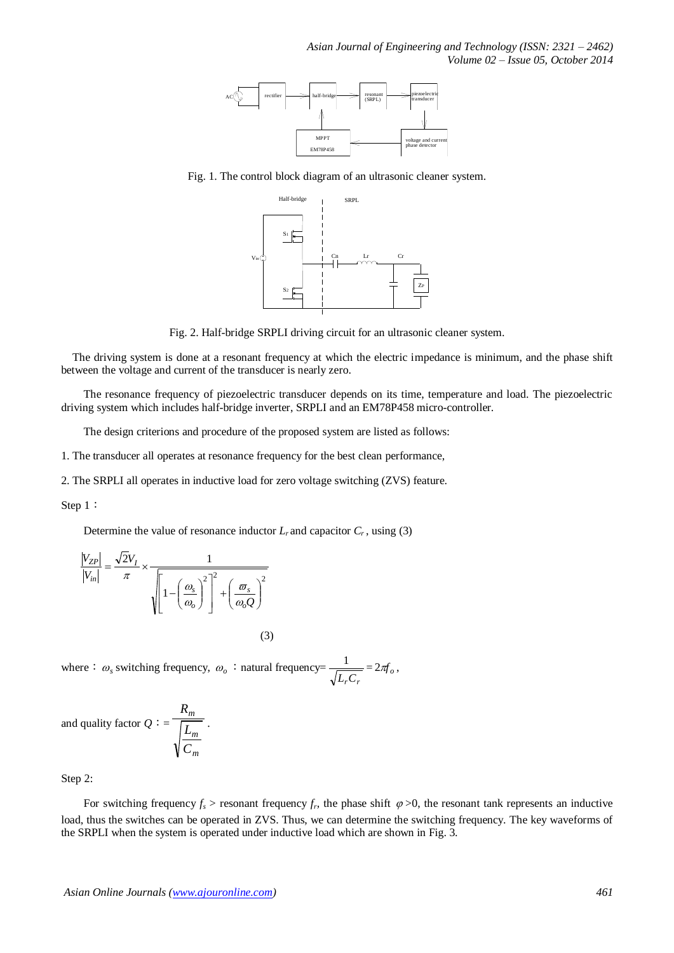*Asian Journal of Engineering and Technology (ISSN: 2321 – 2462) Volume 02 – Issue 05, October 2014*



Fig. 1. The control block diagram of an ultrasonic cleaner system.



Fig. 2. Half-bridge SRPLI driving circuit for an ultrasonic cleaner system.

The driving system is done at a resonant frequency at which the electric impedance is minimum, and the phase shift between the voltage and current of the transducer is nearly zero.

The resonance frequency of piezoelectric transducer depends on its time, temperature and load. The piezoelectric driving system which includes half-bridge inverter, SRPLI and an EM78P458 micro-controller.

The design criterions and procedure of the proposed system are listed as follows:

1. The transducer all operates at resonance frequency for the best clean performance,

2. The SRPLI all operates in inductive load for zero voltage switching (ZVS) feature.

Step 1:

Determine the value of resonance inductor  $L_r$  and capacitor  $C_r$ , using (3)

$$
\frac{|V_{ZP}|}{|V_{in}|} = \frac{\sqrt{2}V_I}{\pi} \times \frac{1}{\sqrt{\left[1 - \left(\frac{\omega_s}{\omega_o}\right)^2\right]^2 + \left(\frac{\omega_s}{\omega_o Q}\right)^2}}
$$

(3)

where :  $\omega_s$  switching frequency,  $\omega_o$  : natural frequency= *LrC<sup>r</sup>*  $\frac{1}{\sigma} = 2\pi f_o,$ 

.

and quality factor  $Q:$ *m m m C L R*

Step 2:

For switching frequency  $f_s$  > resonant frequency  $f_r$ , the phase shift  $\varphi > 0$ , the resonant tank represents an inductive load, thus the switches can be operated in ZVS. Thus, we can determine the switching frequency. The key waveforms of the SRPLI when the system is operated under inductive load which are shown in Fig. 3.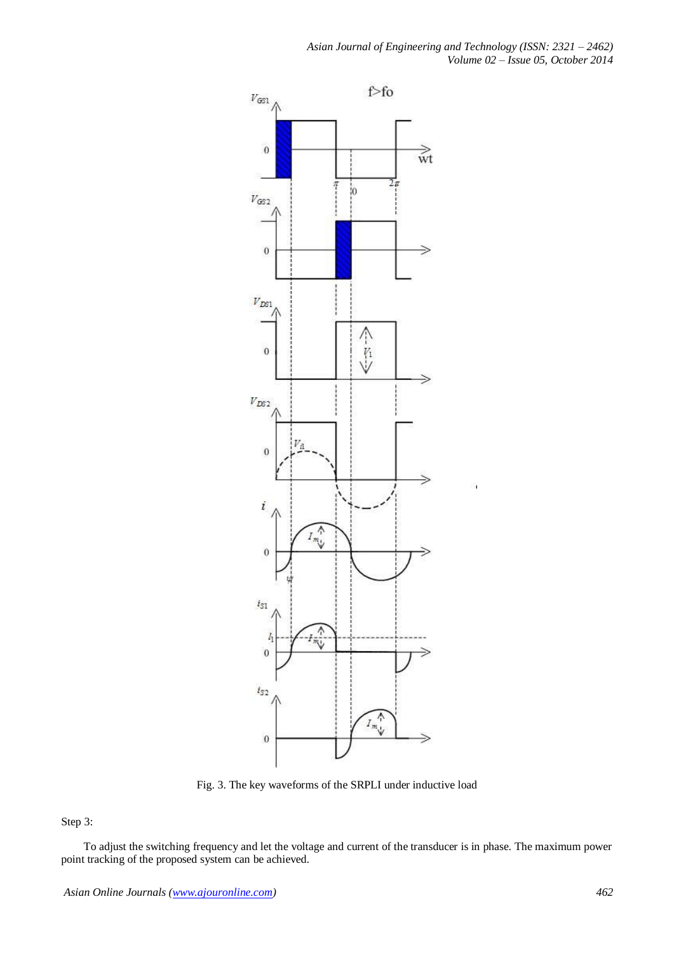*Asian Journal of Engineering and Technology (ISSN: 2321 – 2462) Volume 02 – Issue 05, October 2014*



Fig. 3. The key waveforms of the SRPLI under inductive load

Step 3:

To adjust the switching frequency and let the voltage and current of the transducer is in phase. The maximum power point tracking of the proposed system can be achieved.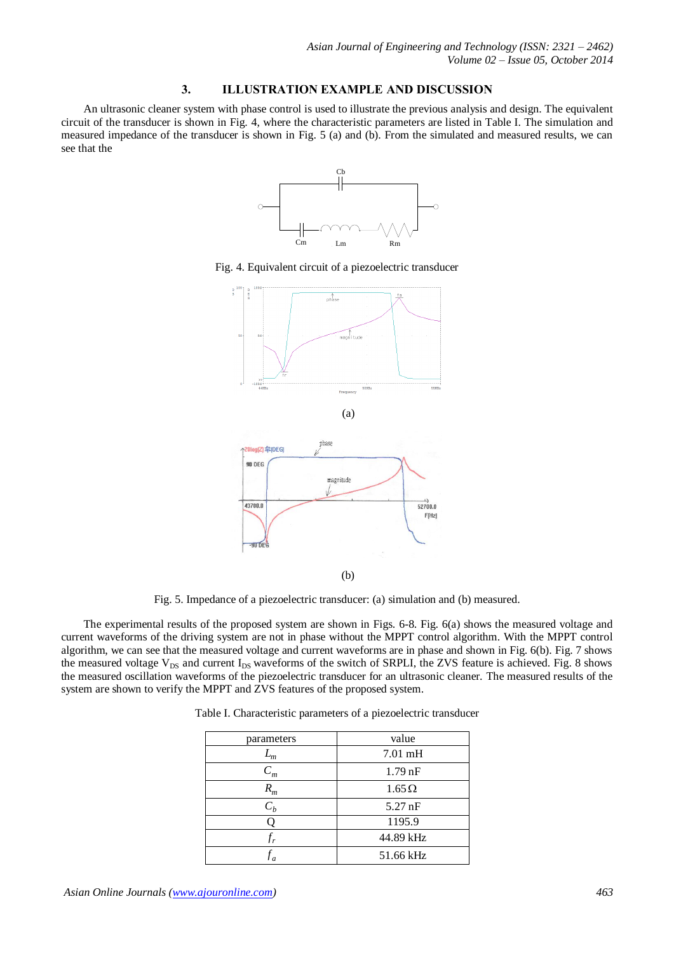#### **3. ILLUSTRATION EXAMPLE AND DISCUSSION**

An ultrasonic cleaner system with phase control is used to illustrate the previous analysis and design. The equivalent circuit of the transducer is shown in Fig. 4, where the characteristic parameters are listed in Table I. The simulation and measured impedance of the transducer is shown in Fig. 5 (a) and (b). From the simulated and measured results, we can see that the



Fig. 4. Equivalent circuit of a piezoelectric transducer



Fig. 5. Impedance of a piezoelectric transducer: (a) simulation and (b) measured.

(b)

The experimental results of the proposed system are shown in Figs. 6-8. Fig. 6(a) shows the measured voltage and current waveforms of the driving system are not in phase without the MPPT control algorithm. With the MPPT control algorithm, we can see that the measured voltage and current waveforms are in phase and shown in Fig. 6(b). Fig. 7 shows the measured voltage  $V_{DS}$  and current  $I_{DS}$  waveforms of the switch of SRPLI, the ZVS feature is achieved. Fig. 8 shows the measured oscillation waveforms of the piezoelectric transducer for an ultrasonic cleaner. The measured results of the system are shown to verify the MPPT and ZVS features of the proposed system.

| parameters | value             |
|------------|-------------------|
| m          | $7.01 \text{ mH}$ |
| $C_m$      | $1.79$ nF         |
| $R_m$      | $1.65\,\Omega$    |
| $C_h$      | $5.27$ nF         |
|            | 1195.9            |
|            | 44.89 kHz         |
|            | 51.66 kHz         |

Table I. Characteristic parameters of a piezoelectric transducer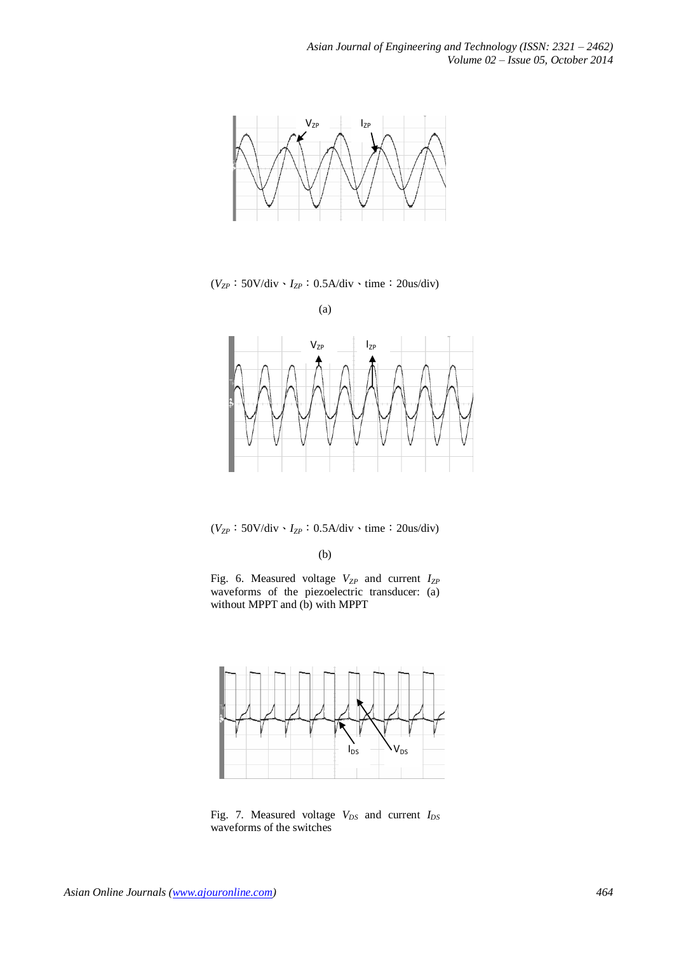

(*VZP*:50V/div、*IZP*:0.5A/div、time:20us/div)

(a)



(*VZP*:50V/div、*IZP*:0.5A/div、time:20us/div)

(b)





Fig. 7. Measured voltage *VDS* and current *IDS* waveforms of the switches